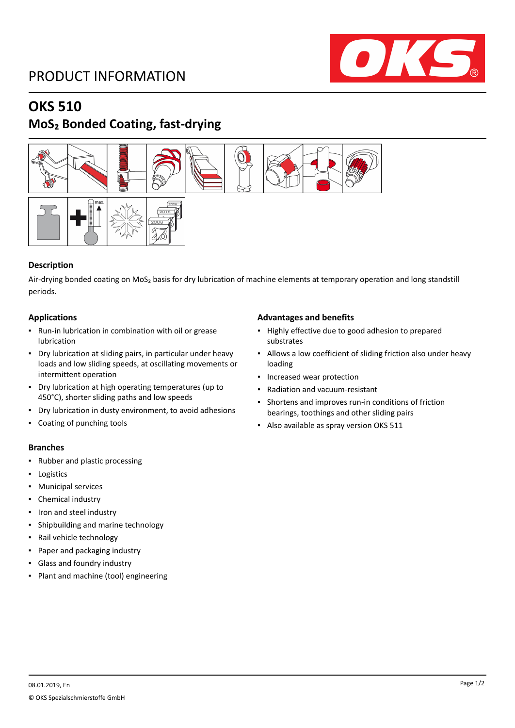## PRODUCT INFORMATION



### **OKS 510**

## **MoS₂ Bonded Coating, fast-drying**



### **Description**

Air-drying bonded coating on MoS<sub>2</sub> basis for dry lubrication of machine elements at temporary operation and long standstill periods.

### **Applications**

- Run-in lubrication in combination with oil or grease lubrication
- Dry lubrication at sliding pairs, in particular under heavy loads and low sliding speeds, at oscillating movements or intermittent operation
- Dry lubrication at high operating temperatures (up to 450°C), shorter sliding paths and low speeds
- Dry lubrication in dusty environment, to avoid adhesions
- Coating of punching tools

### **Branches**

- Rubber and plastic processing
- Logistics
- Municipal services
- Chemical industry
- Iron and steel industry
- Shipbuilding and marine technology
- Rail vehicle technology
- Paper and packaging industry
- Glass and foundry industry
- Plant and machine (tool) engineering

### **Advantages and benefits**

- Highly effective due to good adhesion to prepared substrates
- Allows a low coefficient of sliding friction also under heavy loading
- Increased wear protection
- Radiation and vacuum-resistant
- Shortens and improves run-in conditions of friction bearings, toothings and other sliding pairs
- Also available as spray version OKS 511